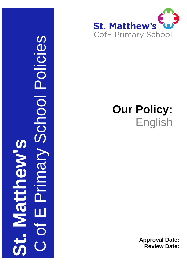

# **Our Policy:** English

**Approval Date: Review Date:**

English**St. Matthew's** Policy C of E Primary School Policies Primary School Policies U Matthew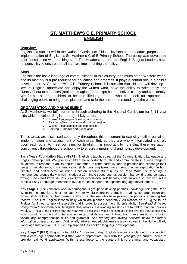## **ST. MATTHEW'S C.E. PRIMARY SCHOOL ENGLISH**

## **Overview**

English is a subject within the National Curriculum. This policy sets out the nature, purpose and implementation of English at St. Matthew's C of E Primary School. The policy was developed after consultation with teaching staff. The Headteacher and the English Subject Leaders have responsibility to ensure that all staff are implementing the policy.

## **Aims**

English is the basic language of communication in this country, and much of the Western world, and its mastery is a pre-requisite for education and progress. It plays a central role in a child's development. At St. Matthew's C.E. Primary School, it is our aim that children will develop a love of English, appreciate and enjoy the written word, have the ability to write freely and fluently about experiences (real and imagined) and express themselves clearly and confidently. We further aim for children to become life-long readers who can seek out appropriate, challenging books to bring them pleasure and to further their understanding of the world.

## **ORGANISATION AND MANAGEMENT**

At St Matthew's, we fulfil our aims through adhering to the National Curriculum for 5–11 year olds which develops English through 4 key areas:

- 1. Spoken Language Speaking and listening
- 2. Reading Word reading and comprehension
- 3. Writing Transcription and composition
- 4. Spelling, Grammar and Punctuation

These areas are discussed separately throughout this document to explicitly outline our aims, implementation and assessment of each area. But, as they are wholly interrelated and rely upon each other to meet our aims for English, it is important to note that these are taught concurrently throughout the school day to ensure a meaningful and holistic development.

**Early Years Foundation Stage (EYFS),** English is taught as part of the Communication, Language and English development. We give all children the opportunity to talk and communicate in a wide range of situations, to respond to adults and to each other, to listen carefully, and to practise and exchange their range of vocabulary and communication skills. Learning takes place through active exploration in both directed and self-directed activities. Children receive 30 minutes of Read Write Inc teaching in homogenous groups daily which includes a 10-minute speed sounds session, handwriting and sentence writing. *See Read Write Inc Policy for further information.* Additionally, children are also involved in the Nuffield Early Language Intervention (NELI) to help support their spoken language development.

**Key Stage 1 (KS1)** children work in homogenous groups to develop phonics knowledge using the Read Write Inc scheme for 1 hour per day (4x per week) where they practise reading, comprehension and writing skills tailored to their current ability. The children who have passed the phonics screening test receive 1 hour of English lessons daily which are planned separately. All classes do a 'Big Write' on Fridays for 1 hour to apply these skills and in order to assess the children's ability. *See Read Write Inc Policy for further information.* Alongside this, whole class reading sessions are taught for half an hour 4 x weekly. In Year 1, the children start the year with 2 sessions a week and increase these over the year so that they have 4 sessions by the end of the year. A range of skills are taught throughout these sessions, including vocabulary, comprehension skills and grammar. *See reading and writing sections below for further information on lesson content.* Additionally, where needed, children are also involved in the Nuffield Early Language Intervention (NELI) to help support their spoken language development.

**Key Stage 2 (KS2),** English is taught for 1 hour each day. English lessons are planned in conjunction with a core, age-appropriate text that, where appropriate, links with the year group's current theme to provide real world application. Within these lessons, the starters link to grammar and vocabulary.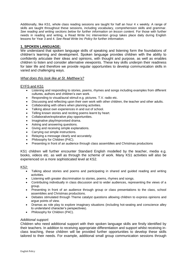Additionally, like KS1, whole class reading sessions are taught for half an hour 4 x weekly. A range of skills are taught throughout these sessions, including vocabulary, comprehension skills and grammar. *See reading and writing sections below for further information on lesson content.* For those with further needs in reading and writing, a Read Write Inc intervention group takes place daily during English lessons for Year 3 and 4. *See Read Write Inc Policy for further information.*

## **1. SPOKEN LANGUAGE:**

We understand that spoken language skills of speaking and listening form the foundations of children's learning and development. Spoken language provides children with the ability to confidently articulate their ideas and opinions, with thought and purpose, as well as enables children to listen and consider alternative viewpoints. These key skills underpin their readiness for later life and therefore we provide regular opportunities to develop communication skills in varied and challenging ways.

## *What does this look like at St. Matthew's?*

## EYFS and KS1

- Listening and responding to stories, poems, rhymes and songs including examples from different cultures, authors and children's own work.
- Responding to visual/aural stimuli e.g. pictures. T.V. radio etc.
- Discussing and reflecting upon their own work with other children, the teacher and other adults.
- Collaborating with others when planning activities.
- Talking about own experiences in and out of school.
- Telling known stories and reciting poems learnt by heart.
- Collaborative/explorative play opportunities.
- Imaginative play/improvised drama.
- Asking and answering questions.
- Giving and receiving simple explanations.
- Carrying out simple instructions.
- Relaying a message clearly and accurately.
- Philosophy for Children (P4C).
- Presenting in front of an audience through class assemblies and Christmas productions

KS1 children will further encounter Standard English modelled by the teacher, media e.g. books, videos etc. as well as through the scheme of work. Many KS1 activities will also be experienced on a more sophisticated level at KS2.

## KS2:

- Talking about stories and poems and participating in shared and guided reading and writing activities.
- Listening with greater discrimination to stories, poems, rhymes and songs.
- Contributing individually in class discussion and to wider audiences, representing the views of a group.
- Presenting in front of an audience through group or class presentations to the class, school assemblies and Christmas productions.
- Debates stimulated through Theme catalyst questions allowing children to express opinions and argue points of view.
- Dramas as role play to explore imaginary situations (including hot-seating and conscience alley to understand character's perspectives).
- Philosophy for Children (P4C).

## *Additional support:*

Children who need additional support with their spoken language skills are firstly identified by their teachers. In addition to receiving appropriate differentiation and support whilst receiving inclass teaching, these children will be provided further opportunities to develop these skills tailored to their needs. For example, additional small group communication sessions through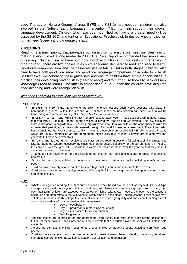Lego Therapy or Nurture Groups. Across EYFS and KS1 (where needed), children are also involved in the Nuffield Early Language Intervention (NELI) to help support their spoken language development. Children who have been identified as having a greater need will be assessed by the SENCO, and further an Educational Psychologist, to decide whether they will further need Speech and Language therapy.

## **2. READING:**

Reading is a main priority that pervades our curriculum to ensure we meet our clear aim of making every child a life-long reader. In 2006, The Rose Report recommended the 'simple view of reading'. Children need to have both good word recognition and good oral comprehension in order to read. There are two phases in a child's academic life: 'learn to read' and 'read to learn'. Good oral comprehension and the deliberate use of talk is vital in both stages. Children also need to have both good word recall and good oral language comprehension in order to write. At St Matthew's, we adhere to these guidelines and ensure children have ample opportunities to practise their developing reading skills ('learn to read') and to further use books to seek out new knowledge ('read to learn'). The latter is emphasised in KS2, once the children have acquired good decoding and word recognition skills.

## *What does 'learning to read' look like at St Matthew's?*

## EYFS and KS1:

- In EYFS, 5 x 30-minute Read Write Inc (RWI) phonics lessons each week. Lessons take place in homogenous groups. Within the lessons, a 10-minute speed sounds session will occur with follow up handwriting and sentence writing. *See RWI policy for more information.*
- In KS1, 4 x 1 hour Read Write Inc (RWI) phonic lessons each week. These sessions will replace literacy teaching with a 10-minute Speed Sounds session followed by Reading and Get Writing. *See RWI policy for more information.* Alongside this, 1 x 1 hour 'big write' per week to allow children the opportunity to write for an extended period, apply their skills learned through RWI and for teacher assessment. For children who have completed the RWI scheme, usually in Year 2, these children receive daily English lessons instead which are usually centred on an age appropriate, high-quality text (at least 3 novels are studied over the year with full class sets available).
- In Year 1 and 2, they further receive whole-class guided reading sessions following a similar structure to KS2 but adapted, where necessary, by class teachers to ensure suitability for the current cohort. In Year 1, the children start the year with 2 sessions a week and increase these over the year so that they have 4 sessions by the end of the year.
- A language-rich environment in the classrooms so children can read and respond to labels, instructions, posters etc.
- Across the curriculum, children experience a wide choice of attractive books including non-fiction and poetry.
- Children have a variety of opportunities to share high-quality stories and respond to these texts.
- Children learn strategies to develop decoding skills e.g. building basic sight vocabulary, phonic cues, picture and context clues.

#### KS2:

- Whole class guided reading 4 x 30-minute sessions a week based around a set weekly text. The text type changes each week on a cycle of fiction, non-fiction and then either poetry, song or picture book so, over each half term, children are exposed to a variety of high-quality texts. These are chosen at the teacher's discretion and often relate to the text types currently studied in the class' English lessons. Lessons follows a set structure across the Key Stage to ensure all children receive high-quality and consistent teaching as well as explore a variety of comprehension skills every week.
	- Day 1 vocabulary
	- Day 2 prediction/summarising/sequencing
	- Day 3 inference/retrieval/explanation
	- Day 4 grammar
- English lessons are centred on an age-appropriate, high quality book with each class having access to a full-set of these novels. Each class has at-least 3 novels that are studied over the year with full class sets avaliable.
- Across the curriculum, children experience a wide choice of attractive books including non-fiction and poetry.
- Children have a variety of opportunities to respond to texts allowing them to develop prediction, literal and inferential comprehension as well as evaluation, appreciation and deduction.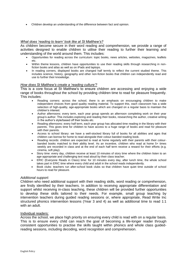Children develop an understanding of the difference between fact and opinion.

## *What does 'reading to learn' look like at St Matthew's?*

As children become secure in their word reading and comprehension, we provide a range of activities designed to enable children to utilise their reading to further their learning and understanding of the world around them. This includes:

- Opportunities for reading across the curriculum: topic books, news articles, websites, magazines, leaflets etc.
- Within theme lessons, children have opportunities to use their reading skills through researching in nonfiction books and atlas as well as on iPads and laptops.
- In reading corners, displayed books are changed half termly to reflect the current studied theme. This includes science, history, geography and other non-fiction books that children can independently read and use to further their knowledge.

#### *How does St Matthew's create a 'reading culture'?*

This is a core focus at St Matthew's to ensure children are accessing and enjoying a wide range of books throughout the school by providing children time to read for pleasure frequently. This includes:

- Reading corners: across the school, there is an emphasis on encouraging children to make independent choices from good quality reading material. To support this, each classroom has a wide selection of high-quality, age-appropriate books which are changed on a regular basis to maintain the children's interest.
- Author afternoons: every term, each year group spends an afternoon completing work on their year group's author. This includes exploring and reading their books, researching the author, creative writing in the author's style/based off their books etc.
- Reading afternoons: every half term, each year group has allocated time reading in the library with their parents. This gives time for children to have access to a huge range of books and read for pleasure with their parents.
- Access to school library: we have a well-stocked library full of books for all abilities and ages that children can borrow for home to read alongside their colour-banded reading book.
- Reading records: children are expected to read at home regularly with their parents with their colourbanded books matched to their ability level. As an incentive, children who read at home 5+ times weekly are recorded in class and at the end of each half term receive a reward for their efforts (e.g. cinema, soft play).
- Story time: every day, children receive at least 10 minutes of story time where the children listen to an age-appropriate and challenging text read aloud by their class teacher.
- ERIC (Everyone Reads in Class) time: for 10 minutes every day, after lunch time, the whole school takes part in ERIC time where every child and adult in the school reads independently.
- Book clubs: teachers run after-school book clubs so that children have quiet time outside of school hours to read for pleasure.

#### *Additional support:*

Children who need additional support with their reading skills, word reading or comprehension, are firstly identified by their teachers. In addition to receiving appropriate differentiation and support whilst receiving in-class teaching, these children will be provided further opportunities to develop these skills tailored to their needs. For example, small group teaching by intervention teachers during guided reading sessions or, where appropriate, Read Write Inc structured phonics intervention lessons (Year 3 and 4) as well as additional time to read 1:1 with an adult.

#### Individual readers:

Across the school, we place high priority on ensuring every child is read with on a regular basis. This is to ensure every child can reach the goal of becoming a life-longer reader through consistent opportunities to practise the skills taught within phonics and whole class guidedreading sessions, including decoding, word recognition and comprehension.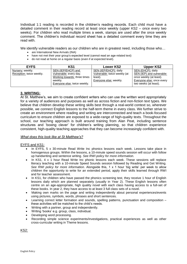Individual 1:1 reading is recorded in the children's reading records. Each child must have a detailed comment in their reading record at least once weekly (upper KS2 – once every two weeks). For children who read multiple times a week, stamps are used after the once weekly comment. The children's individual record sheet has a detailed comment every time they are read with.

We identify vulnerable readers as our children who are in greatest need, including those who...

- are International New Arrivals (INA)
- have not met their year group's expected level (cannot read an age-related text)
- do not read at home on a regular basis (even if at expected level).

| SEN (IEP/EHCP): daily<br>SEN (EHCP): daily<br>SEN (IEP/EHCP) and<br>Nursery: weekly.<br>Vulnerable: twice weekly (at<br>Reception: twice weekly.<br>Vulnerable: every day. | <b>EYFS</b> | KS1                          | <b>Lower KS2</b> | <b>Upper KS2</b>                                                                         |
|----------------------------------------------------------------------------------------------------------------------------------------------------------------------------|-------------|------------------------------|------------------|------------------------------------------------------------------------------------------|
| Everyone else: weekly.<br>weekly.<br>two weeks (at least).<br>Everyone else: twice weekly.                                                                                 |             | Working towards: three times | least).          | <b>SEN (IEP) and vulnerable:</b><br>once weekly (at least).<br>Everyone else: once every |

## **3. WRITING:**

At St. Matthew's, we aim to create confident writers who can use the written word appropriately for a variety of audiences and purposes as well as across fiction and non-fiction text types. We believe that children develop these writing skills best through a real-world context so, wherever possible, we connect English lessons to the half-term theme in every class. We further strive to create an environment where reading and writing are interconnected and teach a book-focused curriculum to ensure children are exposed to a wide-range of high-quality texts. Throughout the school, our teaching approach is built around training from Alan Peat, including sentence structures and 'boxing clever' for children's writing planning, so that children experience consistent, high-quality teaching approaches that they can become increasingly confident with.

## *What does this look like at St Matthew's?*

## EYFS and KS1:

- In EYFS, 5 x 30-minute Read Write Inc phonics lessons each week. Lessons take place in homogenous groups. Within the lessons, a 10-minute speed sounds session will occur with follow up handwriting and sentence writing. *See RWI policy for more information.*
- In KS1, 4 x 1 hour Read Write Inc phonic lessons each week. These sessions will replace literacy teaching with a 10-minute Speed Sounds session followed by Reading and Get Writing. *See RWI policy for more information.* Alongside this, 1 x 1 hour 'big write' per week to allow children the opportunity to write for an extended period, apply their skills learned through RWI and for teacher assessment.
- In KS1, for children who have passed the phonics screening test, they receive 1 hour of English lessons daily which are planned separately (usually in Year 2). These English lessons often centre on an age-appropriate, high quality novel with each class having access to a full-set of these books. In year 2, they have access to at least 3 full class sets of a novel.
- Making own marks on the page and writing independently about personal experiences/events using pictures, symbols, words, phrases and short sentences.
- Learning correct letter formation and sounds, spelling patterns, punctuation and composition these activities will be matched to the child's needs.
- Writing with a partner, group and independently.
- Writing 'books' e.g. group, class, individual.
- Developing word processing.
- Recording simple science experiments/investigations, practical experiences as well as other cross-curricular writing in Theme lessons.

KS2: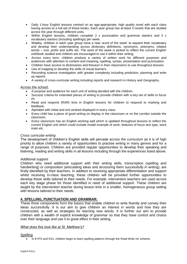- Daily 1-hour English lessons centred on an age-appropriate, high quality novel with each class having access to a full-set of these books. Each year group has at-least 3 novels that are studied across the year through different units.
- Within English lessons, children complete 2 x punctuation and grammar starters and 3 x vocabulary starters (including spellings) per week.
- Weekly, children in each year group have a new 'word of the week' to expand their vocabulary and develop their understanding across dictionary definitions, synonyms, antonyms, related words – root, prefix and suffix etc. The word of the week is picked to reflect the current English unit/book studied and children are encouraged to use it within their writing.
- Across every term, children produce a variety of written work for different purposes and audiences with attention to content and meaning, spelling, syntax, presentation and punctuation.
- Children have access to dictionaries and thesauri in their classrooms to use throughout lessons.
- Use of mapping to develop the skills of visual learners.
- Recording science investigation with greater complexity including prediction, planning and write up reports.
- A variety of cross-curricular writing including reports and research in History and Geography.

## Across the school:

- A purpose and audience for each unit of writing decided with the children.
- Success criteria for extended pieces of writing to provide children with a key set of skills to focus on.
- Read and respond (RAR) time in English lessons for children to respond to marking and feedback.
- Alphabet with initial and exit stroked displayed in every class.
- Every child has a piece of good writing on display in the classroom or on the corridor outside the classroom.
- Every classroom has an English working wall which is updated throughout lessons to reflect the current English unit which could include model example of work, features of focus text type, word mats etc.

## *Cross curricular writing*

The development of children's English skills will pervade across the curriculum as it is of high priority to allow children a variety of opportunities to practise writing in many genres and for a range of purposes. Children are provided regular opportunities to develop their speaking and listening, reading and writing skills in all lessons including through the experiences listed above.

## *Additional support*

Children who need additional support with their writing skills, transcription (spelling and handwriting) or composition (articulating ideas and structuring them successfully in writing), are firstly identified by their teachers. In addition to receiving appropriate differentiation and support whilst receiving in-class teaching, these children will be provided further opportunities to develop these skills tailored to their needs. For example, intervention teachers are used across each key stage phase for those identified in need of additional support. These children are taught by the intervention teacher during lesson time in a smaller, homogeneous group setting with lessons tailored to their needs.

## **4. SPELLING, PUNCTUATION AND GRAMMAR:**

These three components form the basics that enable children to write fluently and convey their ideas successfully. It is our aim to give children an interest in words and how they are constructed, as well as strategies for learning new words. It is further our aim to provide children with a wealth of explicit knowledge of grammar so that they have control and choice over their language and use it to great effect in their writing.

## *What does this look like at St. Matthew's?*

## Spelling

In EYFS and KS1, children begin to learn spelling patterns through the Read Write Inc scheme.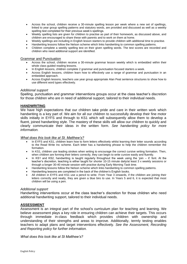- Across the school, children receive a 30-minute spelling lesson per week where a new set of spellings, linked to year group spelling patterns and statutory words, are provided and discussed as well as a weekly spelling test completed for their previous week's spellings.
- Weekly spelling lists are given for children to practise as part of their homework, as discussed above, and children are encouraged to share these with parents and to work on them at home.
- Weekly spellings are including in English lesson starters to provide children with additional time to practise.
- Handwriting lessons follow the Nelson scheme which links handwriting to common spelling patterns.
- Children complete a weekly spelling test on their given spelling words. The test scores are recorded and children who need additional support are identified.

#### Grammar and Punctuation

- Across the school, children receive a 30-minute grammar lesson weekly which is embedded within their whole class guided reading lessons.
- In English lessons, children complete 2 grammar and punctuation focused starters a week.
- Across English lessons, children learn how to effectively use a range of grammar and punctuation in an embedded approach.
- Across English lessons, teachers use year group appropriate Alan Peat sentence structures to show how to use different word types effectively.

#### *Additional support*

Spelling, punctuation and grammar interventions groups occur at the class teacher's discretion for those children who are in need of additional support, tailored to their individual needs.

## **HANDWRITING**

We have high expectations that our children take pride and care in their written work which handwriting is a key part of. We aim for all our children to successfully develop their fine motor skills initially in EYFS and through to KS1 which will subsequently allow them to develop a fluent, joined handwriting style. The mastery of these skills will allow our children to quickly and clearly communicate their ideas in the written form. *See handwriting policy for more information.*

## *What does this look like at St. Matthew's?*

- In EYFS and KS1, children learn how to form letters effectively whilst learning their letter sounds according to the Read Write Inc scheme. Each letter has a handwriting phrase to help the children remember the formation.
- In KS1, children use leading strokes when writing to encourage the correct cursive writing formation. Then, when children are forming their letters correctly, they can begin to write cursive easily and fluently.
- In KS1 and KS2, handwriting is taught regularly throughout the week using the 'join it' font. At the teacher's discretion, teaching is either taught for shorter 10-15 minute daily/at least 3 x weekly sessions or through a longer 30-40 minute session with practise during Early Morning Task time.
- Handwriting lessons follow the Nelson scheme which links handwriting to common spelling patterns.
- Handwriting lessons are completed in the back of the children's English books.
- All children in EYFS and KS1 use a pencil to write. From Year 3 onwards, if the children are joining their letters correctly and neatly, they are given a blue biro to use. In Years 5 and 6, it is expected that most children will be using a pen.

## *Additional support*

Handwriting interventions occur at the class teacher's discretion for those children who need additional handwriting support, tailored to their individual needs.

## **ASSESSMENT**

Assessment is an integral part of the school's curriculum plan for teaching and learning. We believe assessment plays a key role in ensuring children can achieve their targets. This occurs through immediate in-class feedback which provides children with ownership and understanding of their strengths and areas to improve. Additionally, termly testing enables teachers to adapt plans and target interventions effectively. *See the Assessment, Recording and Reporting policy for further information.*

*What does this look like at St Matthew's?*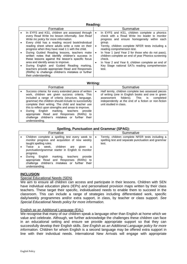|           | Reading:                                                                                                                                                                                                                                                                                                                                                                                                                                                           |                             |                                                                                                                                                                                                                                                                                                                                                                |  |  |  |
|-----------|--------------------------------------------------------------------------------------------------------------------------------------------------------------------------------------------------------------------------------------------------------------------------------------------------------------------------------------------------------------------------------------------------------------------------------------------------------------------|-----------------------------|----------------------------------------------------------------------------------------------------------------------------------------------------------------------------------------------------------------------------------------------------------------------------------------------------------------------------------------------------------------|--|--|--|
| Formative |                                                                                                                                                                                                                                                                                                                                                                                                                                                                    |                             | Summative                                                                                                                                                                                                                                                                                                                                                      |  |  |  |
| $\bullet$ | In EYFS and KS1, children are assessed through<br>every Read Write Inc lesson informally. See Read<br>Write Inc policy for more information.<br>Every child has a reading record book/individual<br>reading sheet where adults write a note on their<br>progress when they have read 1:1 with the child.<br>During Guided Reading lessons, teachers make<br>written notes that identify children's success in<br>these lessons against the lesson's specific focus | ٠<br>$\bullet$<br>$\bullet$ | In EYFS and KS1, children complete a phonics<br>check with a Read Write Inc leader to monitor<br>progress and ensure homogeneity within each<br>group.<br>Termly, children complete NFER tests including a<br>reading comprehension test.<br>In Year 1 (and Year 2 for those who do not pass).<br>children complete an end of year Phonics screening<br>check. |  |  |  |
|           | area and identify areas to improve.<br>During English and Guided Reading marking,<br>teachers provide appropriate Read and Responses<br>(RARs) to challenge children's mistakes or further<br>their understanding.                                                                                                                                                                                                                                                 | ٠                           | In Year 2 and Year 6, children complete an end of<br>Key Stage national SATs reading comprehension<br>test.                                                                                                                                                                                                                                                    |  |  |  |

#### **Writing:**

| Formative                                                                                                                                                                                                                                                                                                                                                                                                                                                                                  |                      | Summative                                                                                                                                                                                                                                 |
|--------------------------------------------------------------------------------------------------------------------------------------------------------------------------------------------------------------------------------------------------------------------------------------------------------------------------------------------------------------------------------------------------------------------------------------------------------------------------------------------|----------------------|-------------------------------------------------------------------------------------------------------------------------------------------------------------------------------------------------------------------------------------------|
| Success criteria: for every extended piece of written<br>work, children are given success criteria. This<br>included a range of criteria (structure, language,<br>grammar) the children should include to successfully<br>complete their writing. The child and teacher use<br>this to reflect upon strengths and areas to improve.<br>English marking, teachers<br>Durina<br>appropriate Read and Responses (RARs) to<br>challenge children's mistakes or further their<br>understanding. | $\bullet$<br>provide | Half termly, children complete two assessed pieces<br>of writing (one in English books and one in green<br>folders). This is<br>assessment<br>completed<br>independently at the end of a fiction or non-fiction<br>unit studied in class. |

## **Spelling, Punctuation and Grammar (SPAG):**

| Formative |                                                                                                                                                                         | Summative |                                                                                                                 |
|-----------|-------------------------------------------------------------------------------------------------------------------------------------------------------------------------|-----------|-----------------------------------------------------------------------------------------------------------------|
|           | Children complete a spelling test every week to<br>monitor progress and acquisition of new weekly<br>taught spelling rules.                                             | $\bullet$ | Termly, children complete NFER tests including a<br>spelling test and separate punctuation and grammar<br>test. |
|           | Twice a<br>children<br>week.<br>aiven<br>are<br>a<br>punctuation/grammar starter in English to monitor<br>progress.                                                     |           |                                                                                                                 |
|           | English<br>marking, teachers<br>During<br>provide<br>appropriate Read and Responses (RARs)<br>to<br>challenge children's mistakes or further<br>their<br>understanding. |           |                                                                                                                 |

## **INCLUSION**

## Special Educational Needs (SEN)

We aim to ensure all children can access and participate in their lessons. Children with SEN have individual education plans (IEPs) and personalised provision maps written by their class teachers. These target their specific, individualised needs to enable them to succeed in the classroom. This can include a range of strategies including differentiated work, specific daily/weekly programmes and/or extra support, in class, by teacher or class support. *See Special Educational Needs policy for more information.*

## English as an Additional Language (EAL)

We recognise that many of our children speak a language other than English at home which we value and celebrate. Although, we further acknowledge the challenges these children can face in an educational setting and ensure we provide appropriate support so that they can successfully develop their English skills. *See English as an Additional Language policy for more information.* Children for whom English is a second language may be offered extra support in line with their individual needs. International New Arrivals will engage with appropriate